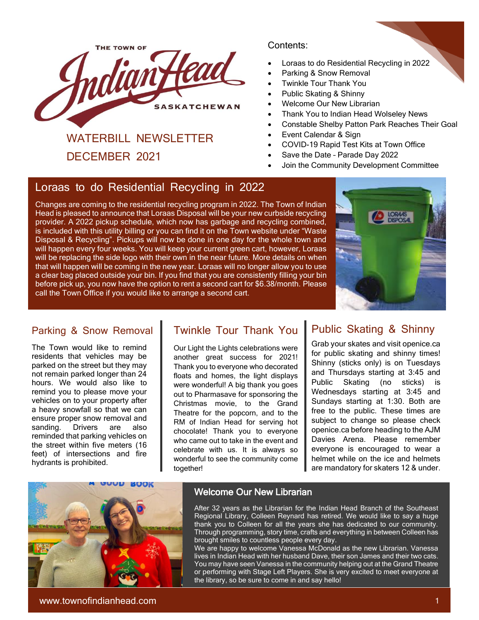

# WATERBILL NEWSLETTER

DECEMBER 2021

#### Contents:

- Loraas to do Residential Recycling in 2022
- Parking & Snow Removal
- Twinkle Tour Thank You
- Public Skating & Shinny
- Welcome Our New Librarian
- Thank You to Indian Head Wolseley News
- Constable Shelby Patton Park Reaches Their Goal
- Event Calendar & Sign
- COVID-19 Rapid Test Kits at Town Office
- Save the Date Parade Day 2022
- Join the Community Development Committee

### Loraas to do Residential Recycling in 2022

Changes are coming to the residential recycling program in 2022. The Town of Indian Head is pleased to announce that Loraas Disposal will be your new curbside recycling provider. A 2022 pickup schedule, which now has garbage and recycling combined, is included with this utility billing or you can find it on the Town website under "Waste Disposal & Recycling". Pickups will now be done in one day for the whole town and will happen every four weeks. You will keep your current green cart, however, Loraas will be replacing the side logo with their own in the near future. More details on when that will happen will be coming in the new year. Loraas will no longer allow you to use a clear bag placed outside your bin. If you find that you are consistently filling your bin before pick up, you now have the option to rent a second cart for \$6.38/month. Please call the Town Office if you would like to arrange a second cart.



#### [Pa](https://l.facebook.com/l.php?u=http%3A%2F%2Fwww.sama.sk.ca%2F%3Ffbclid%3DIwAR19Zol76tceDCpLc_EB3gZI4eVFqHT4Kunw6Ao1s-0CyoC8Cr70aQCnN7g&h=AT2HQtTs4rWQOXjiYIQOwisJSo9chPs-aHBq8wxz1k2dHJkzukiIcfFw580O1P4OF5I7vGUCVCjk2GSeiJO54fkZKzDmxO_nBlWYtxJdgNZoQK1zpEZmspwQf5WlXStfrQ&__tn__=H%2CW0H-R&c%5b0%5d=AT0GhBKStF1JXeIC09CwTn30262yDz8mZG0EHxz_DaTDqYsiJDz9ODluwO1ekSSfSZdNW5vhsMHt764hx7Zhsc76pQqZ_PODoGFKe3zGOghVfDjwwxTKfLtkMJvIujnTkdYH7Y_HwgHx2lOFebeNAziEfbptua7XF7R31Z3qXO6lQ9jbKvqAhxmME6zW924Ug35UCThlJuZcslw)rking & Snow Removal

The Town would like to remind residents that vehicles may be parked on the street but they may not remain parked longer than 24 hours. We would also like to remind you to please move your vehicles on to your property after a heavy snowfall so that we can ensure proper snow removal and sanding. Drivers are also reminded that parking vehicles on the street within five meters (16 feet) of intersections and fire hydrants is prohibited.

## Twinkle Tour Thank You

Our Light the Lights celebrations were another great success for 2021! Thank you to everyone who decorated floats and homes, the light displays were wonderful! A big thank you goes out to Pharmasave for sponsoring the Christmas movie, to the Grand Theatre for the popcorn, and to the RM of Indian Head for serving hot chocolate! Thank you to everyone who came out to take in the event and celebrate with us. It is always so wonderful to see the community come together!

## Public Skating & Shinny

Grab your skates and visit openice.ca for public skating and shinny times! Shinny (sticks only) is on Tuesdays and Thursdays starting at 3:45 and Public Skating (no sticks) is Wednesdays starting at 3:45 and Sundays starting at 1:30. Both are free to the public. These times are subject to change so please check openice.ca before heading to the AJM Davies Arena. Please remember everyone is encouraged to wear a helmet while on the ice and helmets are mandatory for skaters 12 & under.



#### Welcome Our New Librarian

After 32 years as the Librarian for the Indian Head Branch of the Southeast Regional Library, Colleen Reynard has retired. We would like to say a huge thank you to Colleen for all the years she has dedicated to our community. Through programming, story time, crafts and everything in between Colleen has brought smiles to countless people every day.

We are happy to welcome Vanessa McDonald as the new Librarian. Vanessa lives in Indian Head with her husband Dave, their son James and their two cats. You may have seen Vanessa in the community helping out at the Grand Theatre or performing with Stage Left Players. She is very excited to meet everyone at the library, so be sure to come in and say hello!